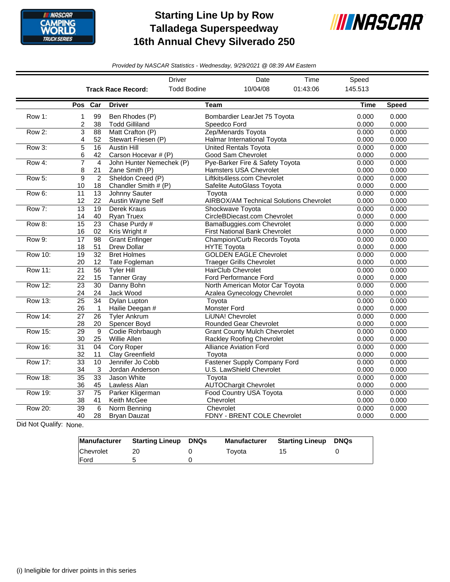

## **Starting Line Up by Row Talladega Superspeedway 16th Annual Chevy Silverado 250**



*Provided by NASCAR Statistics - Wednesday, 9/29/2021 @ 08:39 AM Eastern*

|                |                       |                                 |                                             | <b>Driver</b>          | Date                                                              | Time     | Speed          |                |
|----------------|-----------------------|---------------------------------|---------------------------------------------|------------------------|-------------------------------------------------------------------|----------|----------------|----------------|
|                |                       |                                 | <b>Track Race Record:</b>                   | <b>Todd Bodine</b>     | 10/04/08                                                          | 01:43:06 | 145.513        |                |
|                |                       | Pos Car                         | <b>Driver</b>                               | <b>Team</b>            |                                                                   |          | Time           | <b>Speed</b>   |
| Row 1:         | 1<br>$\overline{c}$   | 99<br>38                        | Ben Rhodes (P)<br><b>Todd Gilliland</b>     |                        | Bombardier LearJet 75 Toyota<br>Speedco Ford                      |          | 0.000<br>0.000 | 0.000<br>0.000 |
| Row 2:         | 3<br>4                | 88<br>52                        | Matt Crafton (P)<br>Stewart Friesen (P)     |                        | Zep/Menards Toyota<br>Halmar International Toyota                 |          | 0.000<br>0.000 | 0.000<br>0.000 |
| Row 3:         | 5<br>6                | 16<br>42                        | <b>Austin Hill</b><br>Carson Hocevar # (P)  |                        | <b>United Rentals Toyota</b><br>Good Sam Chevrolet                |          | 0.000<br>0.000 | 0.000<br>0.000 |
| Row 4:         | $\overline{7}$<br>8   | $\overline{4}$<br>21            | John Hunter Nemechek (P)<br>Zane Smith (P)  |                        | Pye-Barker Fire & Safety Toyota<br>Hamsters USA Chevrolet         |          | 0.000<br>0.000 | 0.000<br>0.000 |
| Row 5:         | 9<br>10               | $\overline{2}$<br>18            | Sheldon Creed (P)<br>Chandler Smith # (P)   |                        | Liftkits4less.com Chevrolet<br>Safelite AutoGlass Toyota          |          | 0.000<br>0.000 | 0.000<br>0.000 |
| Row 6:         | 11<br>12              | $\overline{13}$<br>22           | <b>Johnny Sauter</b><br>Austin Wayne Self   | Toyota                 | <b>AIRBOX/AM Technical Solutions Chevrolet</b>                    |          | 0.000<br>0.000 | 0.000<br>0.000 |
| Row 7:         | $\overline{13}$<br>14 | $\overline{19}$<br>40           | <b>Derek Kraus</b><br><b>Ryan Truex</b>     |                        | Shockwave Toyota<br>CircleBDiecast.com Chevrolet                  |          | 0.000<br>0.000 | 0.000<br>0.000 |
| Row 8:         | 15<br>16              | $\overline{23}$<br>02           | Chase Purdy #<br>Kris Wright #              |                        | BamaBuggies.com Chevrolet<br><b>First National Bank Chevrolet</b> |          | 0.000<br>0.000 | 0.000<br>0.000 |
| Row 9:         | 17<br>18              | 98<br>51                        | <b>Grant Enfinger</b><br><b>Drew Dollar</b> |                        | Champion/Curb Records Toyota<br><b>HYTE Toyota</b>                |          | 0.000<br>0.000 | 0.000<br>0.000 |
| <b>Row 10:</b> | $\overline{19}$<br>20 | $\overline{32}$<br>12           | <b>Bret Holmes</b><br>Tate Fogleman         |                        | <b>GOLDEN EAGLE Chevrolet</b><br><b>Traeger Grills Chevrolet</b>  |          | 0.000<br>0.000 | 0.000<br>0.000 |
| <b>Row 11:</b> | $\overline{21}$<br>22 | 56<br>15                        | <b>Tvler Hill</b><br><b>Tanner Gray</b>     |                        | <b>HairClub Chevrolet</b><br>Ford Performance Ford                |          | 0.000<br>0.000 | 0.000<br>0.000 |
| Row 12:        | $\overline{23}$<br>24 | $\overline{30}$<br>24           | Danny Bohn<br>Jack Wood                     |                        | North American Motor Car Toyota<br>Azalea Gynecology Chevrolet    |          | 0.000<br>0.000 | 0.000<br>0.000 |
| <b>Row 13:</b> | $\overline{25}$<br>26 | $\overline{34}$<br>$\mathbf{1}$ | <b>Dylan Lupton</b><br>Hailie Deegan #      | Toyota<br>Monster Ford |                                                                   |          | 0.000<br>0.000 | 0.000<br>0.000 |
| <b>Row 14:</b> | $\overline{27}$<br>28 | $\overline{26}$<br>20           | <b>Tvler Ankrum</b><br>Spencer Boyd         |                        | LiUNA! Chevrolet<br><b>Rounded Gear Chevrolet</b>                 |          | 0.000<br>0.000 | 0.000<br>0.000 |
| Row 15:        | $\overline{29}$<br>30 | 9<br>25                         | Codie Rohrbaugh<br>Willie Allen             |                        | <b>Grant County Mulch Chevrolet</b><br>Rackley Roofing Chevrolet  |          | 0.000<br>0.000 | 0.000<br>0.000 |
| <b>Row 16:</b> | $\overline{31}$<br>32 | 04<br>11                        | <b>Cory Roper</b><br>Clay Greenfield        | Toyota                 | <b>Alliance Aviation Ford</b>                                     |          | 0.000<br>0.000 | 0.000<br>0.000 |
| <b>Row 17:</b> | $\overline{33}$<br>34 | 10<br>3                         | Jennifer Jo Cobb<br>Jordan Anderson         |                        | <b>Fastener Supply Company Ford</b><br>U.S. LawShield Chevrolet   |          | 0.000<br>0.000 | 0.000<br>0.000 |
| <b>Row 18:</b> | $\overline{35}$<br>36 | 33<br>45                        | Jason White<br>Lawless Alan                 | Toyota                 | <b>AUTOChargit Chevrolet</b>                                      |          | 0.000<br>0.000 | 0.000<br>0.000 |
| <b>Row 19:</b> | $\overline{37}$<br>38 | $\overline{75}$<br>41           | Parker Kligerman<br>Keith McGee             | Chevrolet              | Food Country USA Toyota                                           |          | 0.000<br>0.000 | 0.000<br>0.000 |
| <b>Row 20:</b> | $\overline{39}$<br>40 | 6<br>28                         | Norm Benning<br><b>Bryan Dauzat</b>         | Chevrolet              | FDNY - BRENT COLE Chevrolet                                       |          | 0.000<br>0.000 | 0.000<br>0.000 |

Did Not Qualify: None.

| Manufacturer | <b>Starting Lineup DNQs</b> | <b>Manufacturer</b> | <b>Starting Lineup DNQs</b> |  |
|--------------|-----------------------------|---------------------|-----------------------------|--|
| Chevrolet    |                             | Tovota              | 15.                         |  |
| <b>IFord</b> |                             |                     |                             |  |